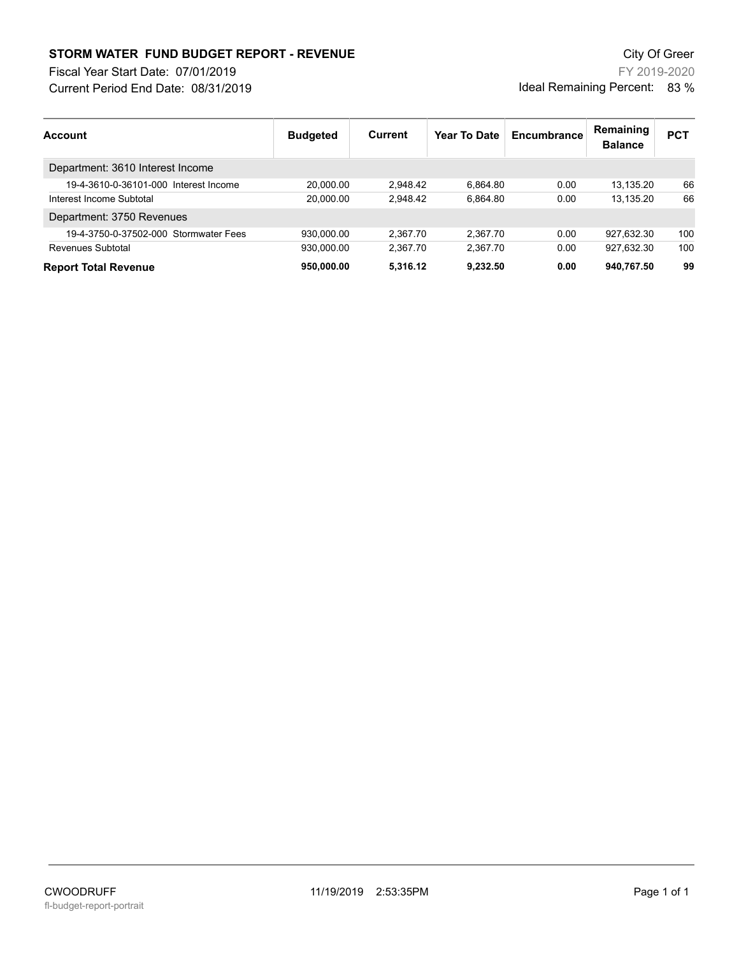## **STORM WATER FUND BUDGET REPORT - REVENUE City Of Greer** City Of Greer

Fiscal Year Start Date: 07/01/2019

Current Period End Date: 08/31/2019

FY 2019-2020 Ideal Remaining Percent: 83 %

| <b>Account</b>                        | <b>Budgeted</b> | Current  | Year To Date | Encumbrance | Remaining<br><b>Balance</b> | <b>PCT</b> |
|---------------------------------------|-----------------|----------|--------------|-------------|-----------------------------|------------|
| Department: 3610 Interest Income      |                 |          |              |             |                             |            |
| 19-4-3610-0-36101-000 Interest Income | 20.000.00       | 2.948.42 | 6.864.80     | 0.00        | 13.135.20                   | 66         |
| Interest Income Subtotal              | 20.000.00       | 2.948.42 | 6.864.80     | 0.00        | 13.135.20                   | 66         |
| Department: 3750 Revenues             |                 |          |              |             |                             |            |
| 19-4-3750-0-37502-000 Stormwater Fees | 930.000.00      | 2.367.70 | 2.367.70     | 0.00        | 927.632.30                  | 100        |
| Revenues Subtotal                     | 930.000.00      | 2.367.70 | 2.367.70     | 0.00        | 927.632.30                  | 100        |
| <b>Report Total Revenue</b>           | 950.000.00      | 5,316.12 | 9.232.50     | 0.00        | 940.767.50                  | 99         |